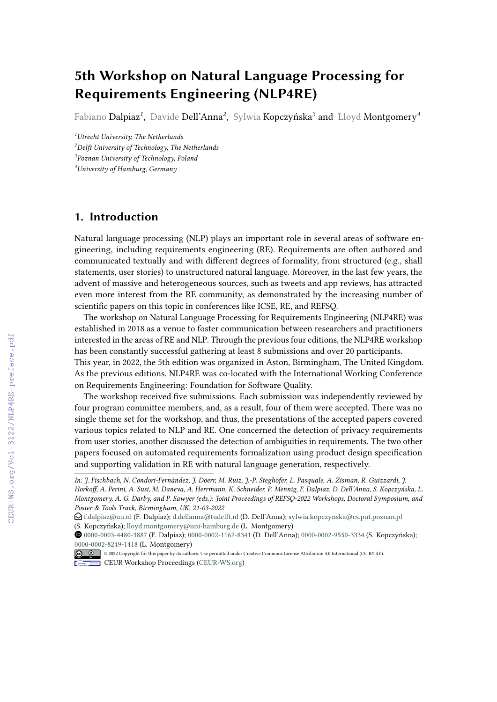## **5th Workshop on Natural Language Processing for Requirements Engineering (NLP4RE)**

Fabiano Dalpiaz*<sup>1</sup>* , Davide Dell'Anna*<sup>2</sup>* , Sylwia Kopczyńska*<sup>3</sup>* and Lloyd Montgomery*<sup>4</sup>*

*Utrecht University, The Netherlands Delft University of Technology, The Netherlands Poznan University of Technology, Poland University of Hamburg, Germany*

## **1. Introduction**

Natural language processing (NLP) plays an important role in several areas of software engineering, including requirements engineering (RE). Requirements are often authored and communicated textually and with different degrees of formality, from structured (e.g., shall statements, user stories) to unstructured natural language. Moreover, in the last few years, the advent of massive and heterogeneous sources, such as tweets and app reviews, has attracted even more interest from the RE community, as demonstrated by the increasing number of scientific papers on this topic in conferences like ICSE, RE, and REFSQ.

The workshop on Natural Language Processing for Requirements Engineering (NLP4RE) was established in 2018 as a venue to foster communication between researchers and practitioners interested in the areas of RE and NLP. Through the previous four editions, the NLP4RE workshop has been constantly successful gathering at least 8 submissions and over 20 participants.

This year, in 2022, the 5th edition was organized in Aston, Birmingham, The United Kingdom. As the previous editions, NLP4RE was co-located with the International Working Conference on Requirements Engineering: Foundation for Software Quality.

The workshop received five submissions. Each submission was independently reviewed by four program committee members, and, as a result, four of them were accepted. There was no single theme set for the workshop, and thus, the presentations of the accepted papers covered various topics related to NLP and RE. One concerned the detection of privacy requirements from user stories, another discussed the detection of ambiguities in requirements. The two other papers focused on automated requirements formalization using product design specification and supporting validation in RE with natural language generation, respectively.

*In: J. Fischbach, N. Condori-Fernández, J. Doerr, M. Ruiz, J.-P. Steghöfer, L. Pasquale, A. Zisman, R. Guizzardi, J. Horkoff, A. Perini, A. Susi, M. Daneva, A. Herrmann, K. Schneider, P. Mennig, F. Dalpiaz, D. Dell'Anna, S. Kopczyńska, L. Montgomery, A. G. Darby, and P. Sawyer (eds.): Joint Proceedings of REFSQ-2022 Workshops, Doctoral Symposium, and Poster & Tools Track, Birmingham, UK, 21-03-2022*

 $\bigcirc$  [f.dalpiaz@uu.nl](mailto:f.dalpiaz@uu.nl) (F. Dalpiaz); [d.dellanna@tudelft.nl](mailto:d.dellanna@tudelft.nl) (D. Dell'Anna); [sylwia.kopczynska@cs.put.poznan.pl](mailto:sylwia.kopczynska@cs.put.poznan.pl) (S. Kopczyńska); [lloyd.montgomery@uni-hamburg.de](mailto:lloyd.montgomery@uni-hamburg.de) (L. Montgomery)

[0000-0003-4480-3887](https://orcid.org/0000-0003-4480-3887) (F. Dalpiaz); [0000-0002-1162-8341](https://orcid.org/0000-0002-1162-8341) (D. Dell'Anna); [0000-0002-9550-3334](https://orcid.org/0000-0002-9550-3334) (S. Kopczyńska); [0000-0002-8249-1418](https://orcid.org/0000-0002-8249-1418) (L. Montgomery)

<sup>©</sup> 2022 Copyright for this paper by its authors. Use permitted under Creative Commons License Attribution 4.0 International (CC BY 4.0). **CEUR Workshop [Proceedings](http://ceur-ws.org) [\(CEUR-WS.org\)](http://ceur-ws.org)**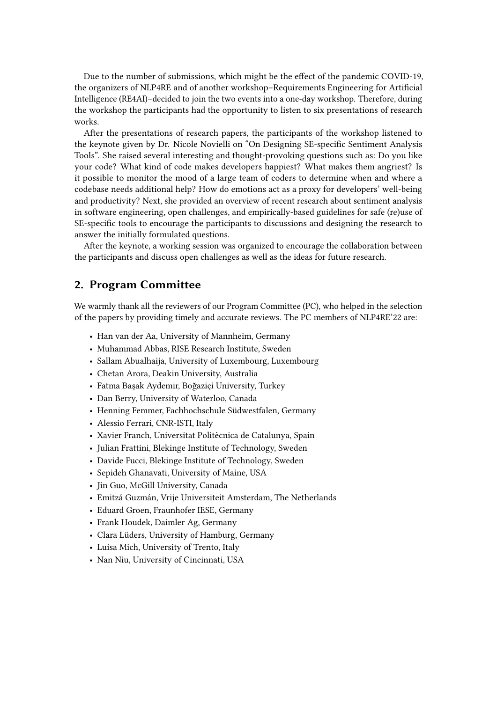Due to the number of submissions, which might be the effect of the pandemic COVID-19, the organizers of NLP4RE and of another workshop–Requirements Engineering for Artificial Intelligence (RE4AI)–decided to join the two events into a one-day workshop. Therefore, during the workshop the participants had the opportunity to listen to six presentations of research works.

After the presentations of research papers, the participants of the workshop listened to the keynote given by Dr. Nicole Novielli on "On Designing SE-specific Sentiment Analysis Tools". She raised several interesting and thought-provoking questions such as: Do you like your code? What kind of code makes developers happiest? What makes them angriest? Is it possible to monitor the mood of a large team of coders to determine when and where a codebase needs additional help? How do emotions act as a proxy for developers' well-being and productivity? Next, she provided an overview of recent research about sentiment analysis in software engineering, open challenges, and empirically-based guidelines for safe (re)use of SE-specific tools to encourage the participants to discussions and designing the research to answer the initially formulated questions.

After the keynote, a working session was organized to encourage the collaboration between the participants and discuss open challenges as well as the ideas for future research.

## **2. Program Committee**

We warmly thank all the reviewers of our Program Committee (PC), who helped in the selection of the papers by providing timely and accurate reviews. The PC members of NLP4RE'22 are:

- Han van der Aa, University of Mannheim, Germany
- Muhammad Abbas, RISE Research Institute, Sweden
- Sallam Abualhaija, University of Luxembourg, Luxembourg
- Chetan Arora, Deakin University, Australia
- Fatma Başak Aydemir, Boğaziçi University, Turkey
- Dan Berry, University of Waterloo, Canada
- Henning Femmer, Fachhochschule Südwestfalen, Germany
- Alessio Ferrari, CNR-ISTI, Italy
- Xavier Franch, Universitat Politècnica de Catalunya, Spain
- Julian Frattini, Blekinge Institute of Technology, Sweden
- Davide Fucci, Blekinge Institute of Technology, Sweden
- Sepideh Ghanavati, University of Maine, USA
- Jin Guo, McGill University, Canada
- Emitzá Guzmán, Vrije Universiteit Amsterdam, The Netherlands
- Eduard Groen, Fraunhofer IESE, Germany
- Frank Houdek, Daimler Ag, Germany
- Clara Lüders, University of Hamburg, Germany
- Luisa Mich, University of Trento, Italy
- Nan Niu, University of Cincinnati, USA